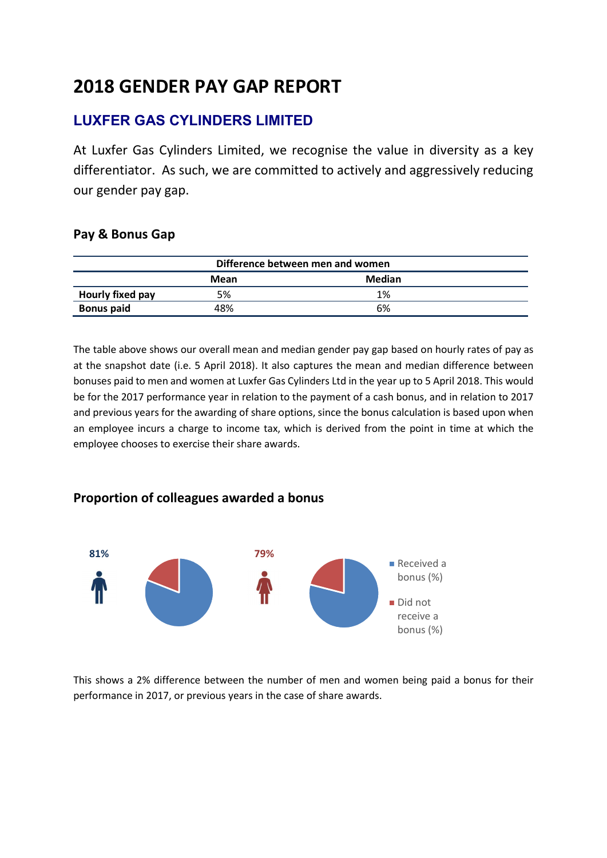# 2018 GENDER PAY GAP REPORT

## LUXFER GAS CYLINDERS LIMITED

At Luxfer Gas Cylinders Limited, we recognise the value in diversity as a key differentiator. As such, we are committed to actively and aggressively reducing our gender pay gap.

### Pay & Bonus Gap

| Difference between men and women |      |        |  |
|----------------------------------|------|--------|--|
|                                  | Mean | Median |  |
| Hourly fixed pay                 | 5%   | 1%     |  |
| <b>Bonus paid</b>                | 18%  | 6%     |  |

The table above shows our overall mean and median gender pay gap based on hourly rates of pay as at the snapshot date (i.e. 5 April 2018). It also captures the mean and median difference between bonuses paid to men and women at Luxfer Gas Cylinders Ltd in the year up to 5 April 2018. This would be for the 2017 performance year in relation to the payment of a cash bonus, and in relation to 2017 and previous years for the awarding of share options, since the bonus calculation is based upon when an employee incurs a charge to income tax, which is derived from the point in time at which the employee chooses to exercise their share awards.

#### Proportion of colleagues awarded a bonus



This shows a 2% difference between the number of men and women being paid a bonus for their performance in 2017, or previous years in the case of share awards.